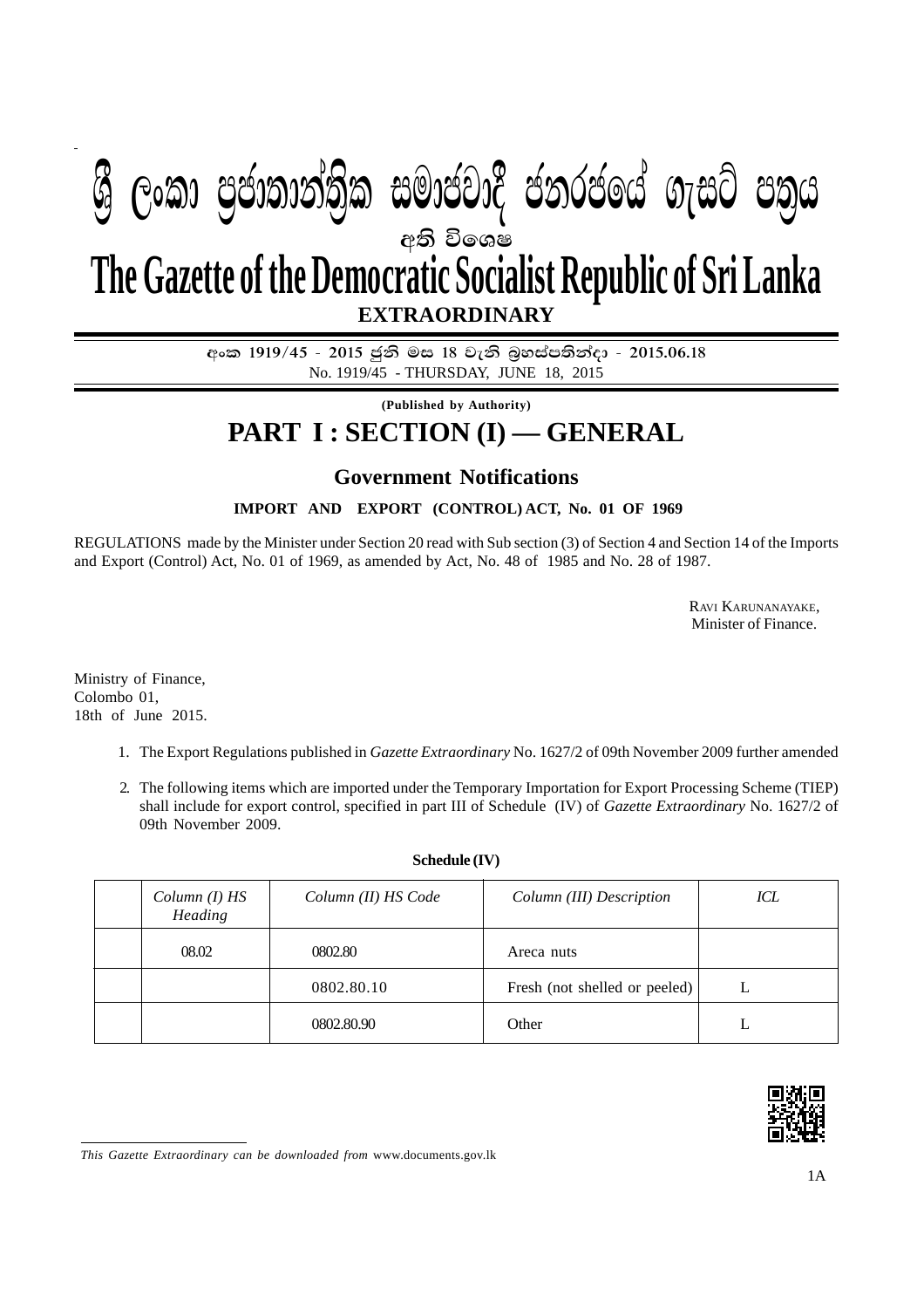## අති වි**ශෙ**ෂ **EXTRAORDINARY The Gazette of the Democratic Socialist Republic of Sri Lanka &ු ලංකා පුජාතාන්තික සමාජවාදී ජනරජයේ ගැසට් පතුය**

අංක 1919/45 - 2015 ජූනි මස 18 වැනි බුහස්පතින්දා - 2015.06.18 No. 1919/45 - THURSDAY, JUNE 18, 2015

**(Published by Authority)**

## **PART I : SECTION (I) — GENERAL**

## **Government Notifications**

**IMPORT AND EXPORT (CONTROL) ACT, No. 01 OF 1969**

REGULATIONS made by the Minister under Section 20 read with Sub section (3) of Section 4 and Section 14 of the Imports and Export (Control) Act, No. 01 of 1969, as amended by Act, No. 48 of 1985 and No. 28 of 1987.

> RAVI KARUNANAYAKE, Minister of Finance.

Ministry of Finance, Colombo 01, 18th of June 2015.

- 1. The Export Regulations published in *Gazette Extraordinary* No. 1627/2 of 09th November 2009 further amended
- 2. The following items which are imported under the Temporary Importation for Export Processing Scheme (TIEP) shall include for export control, specified in part III of Schedule (IV) of *Gazette Extraordinary* No. 1627/2 of 09th November 2009.

| Column (I) HS<br>Heading | Column (II) HS Code | Column (III) Description      | ICL |
|--------------------------|---------------------|-------------------------------|-----|
| 08.02                    | 0802.80             | Areca nuts                    |     |
|                          | 0802.80.10          | Fresh (not shelled or peeled) |     |
|                          | 0802.80.90          | Other                         |     |

## **Schedule (IV)**



*This Gazette Extraordinary can be downloaded from* www.documents.gov.lk